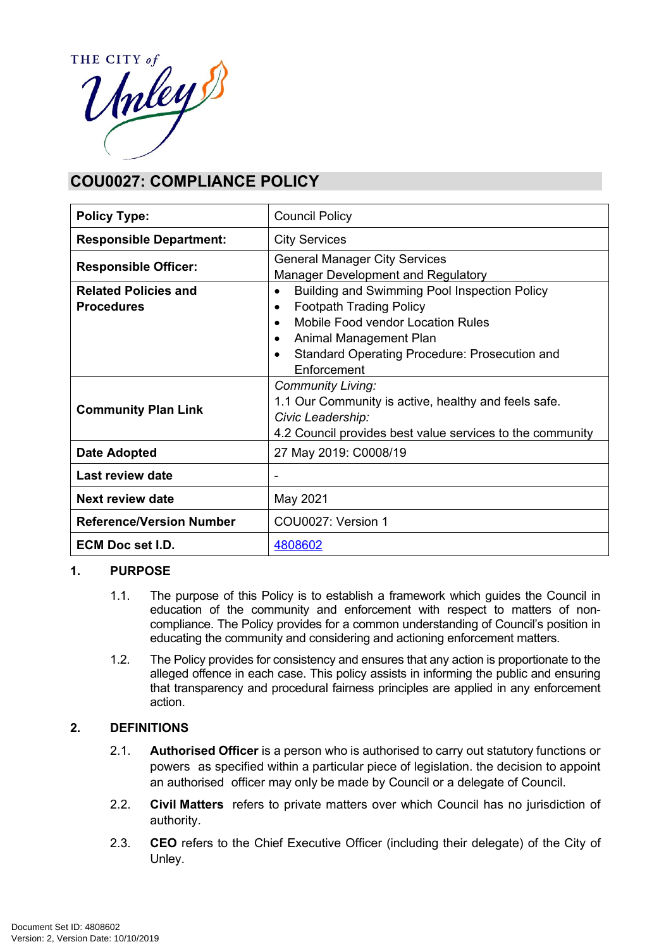

# **COU0027: COMPLIANCE POLICY**

| <b>Policy Type:</b>                              | <b>Council Policy</b>                                                                                                                                                                                                                                                           |  |
|--------------------------------------------------|---------------------------------------------------------------------------------------------------------------------------------------------------------------------------------------------------------------------------------------------------------------------------------|--|
| <b>Responsible Department:</b>                   | <b>City Services</b>                                                                                                                                                                                                                                                            |  |
| <b>Responsible Officer:</b>                      | <b>General Manager City Services</b><br><b>Manager Development and Regulatory</b>                                                                                                                                                                                               |  |
| <b>Related Policies and</b><br><b>Procedures</b> | <b>Building and Swimming Pool Inspection Policy</b><br>$\bullet$<br><b>Footpath Trading Policy</b><br>$\bullet$<br><b>Mobile Food vendor Location Rules</b><br>$\bullet$<br>Animal Management Plan<br>$\bullet$<br>Standard Operating Procedure: Prosecution and<br>Enforcement |  |
| <b>Community Plan Link</b>                       | <b>Community Living:</b><br>1.1 Our Community is active, healthy and feels safe.<br>Civic Leadership:<br>4.2 Council provides best value services to the community                                                                                                              |  |
| Date Adopted                                     | 27 May 2019: C0008/19                                                                                                                                                                                                                                                           |  |
| Last review date                                 | ۰                                                                                                                                                                                                                                                                               |  |
| <b>Next review date</b>                          | May 2021                                                                                                                                                                                                                                                                        |  |
| <b>Reference/Version Number</b>                  | COU0027: Version 1                                                                                                                                                                                                                                                              |  |
| ECM Doc set I.D.                                 | 4808602                                                                                                                                                                                                                                                                         |  |

# **1. PURPOSE**

- 1.1. The purpose of this Policy is to establish a framework which guides the Council in education of the community and enforcement with respect to matters of noncompliance. The Policy provides for a common understanding of Council's position in educating the community and considering and actioning enforcement matters.
- 1.2. The Policy provides for consistency and ensures that any action is proportionate to the alleged offence in each case. This policy assists in informing the public and ensuring that transparency and procedural fairness principles are applied in any enforcement action.

# **2. DEFINITIONS**

- 2.1. **Authorised Officer** is a person who is authorised to carry out statutory functions or powers as specified within a particular piece of legislation. the decision to appoint an authorised officer may only be made by Council or a delegate of Council.
- 2.2. **Civil Matters** refers to private matters over which Council has no jurisdiction of authority.
- 2.3. **CEO** refers to the Chief Executive Officer (including their delegate) of the City of Unley.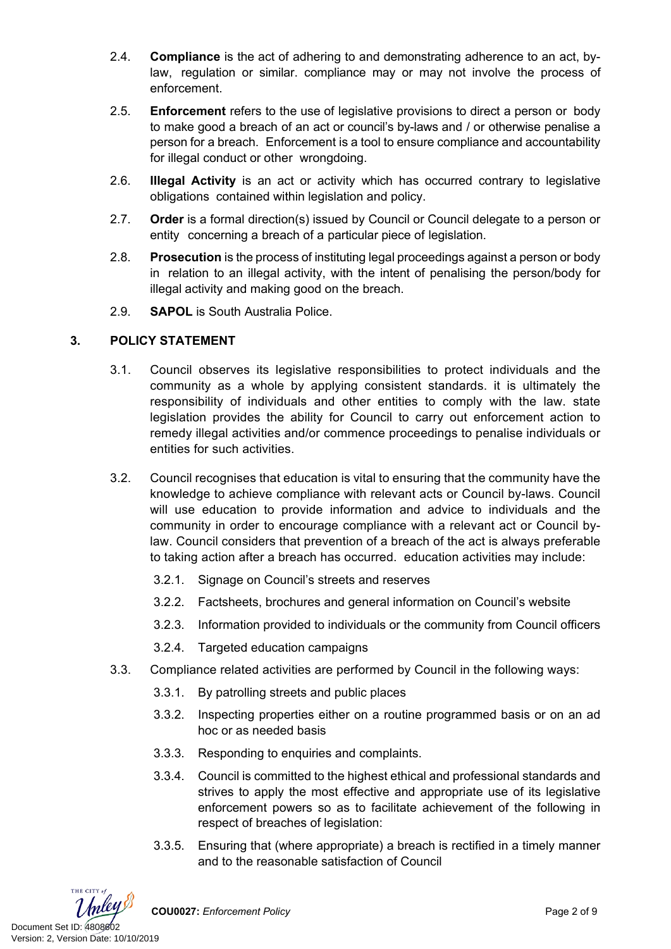- 2.4. **Compliance** is the act of adhering to and demonstrating adherence to an act, bylaw, regulation or similar. compliance may or may not involve the process of enforcement.
- 2.5. **Enforcement** refers to the use of legislative provisions to direct a person or body to make good a breach of an act or council's by-laws and / or otherwise penalise a person for a breach. Enforcement is a tool to ensure compliance and accountability for illegal conduct or other wrongdoing.
- 2.6. **Illegal Activity** is an act or activity which has occurred contrary to legislative obligations contained within legislation and policy.
- 2.7. **Order** is a formal direction(s) issued by Council or Council delegate to a person or entity concerning a breach of a particular piece of legislation.
- 2.8. **Prosecution** is the process of instituting legal proceedings against a person or body in relation to an illegal activity, with the intent of penalising the person/body for illegal activity and making good on the breach.
- 2.9. **SAPOL** is South Australia Police.

# **3. POLICY STATEMENT**

- 3.1. Council observes its legislative responsibilities to protect individuals and the community as a whole by applying consistent standards. it is ultimately the responsibility of individuals and other entities to comply with the law. state legislation provides the ability for Council to carry out enforcement action to remedy illegal activities and/or commence proceedings to penalise individuals or entities for such activities.
- 3.2. Council recognises that education is vital to ensuring that the community have the knowledge to achieve compliance with relevant acts or Council by-laws. Council will use education to provide information and advice to individuals and the community in order to encourage compliance with a relevant act or Council bylaw. Council considers that prevention of a breach of the act is always preferable to taking action after a breach has occurred. education activities may include:
	- 3.2.1. Signage on Council's streets and reserves
	- 3.2.2. Factsheets, brochures and general information on Council's website
	- 3.2.3. Information provided to individuals or the community from Council officers
	- 3.2.4. Targeted education campaigns
- 3.3. Compliance related activities are performed by Council in the following ways:
	- 3.3.1. By patrolling streets and public places
	- 3.3.2. Inspecting properties either on a routine programmed basis or on an ad hoc or as needed basis
	- 3.3.3. Responding to enquiries and complaints.
	- 3.3.4. Council is committed to the highest ethical and professional standards and strives to apply the most effective and appropriate use of its legislative enforcement powers so as to facilitate achievement of the following in respect of breaches of legislation:
	- 3.3.5. Ensuring that (where appropriate) a breach is rectified in a timely manner and to the reasonable satisfaction of Council

THE CITY of Document Set ID: 4808602<br>Version: 2, Version Date: 10/10/2019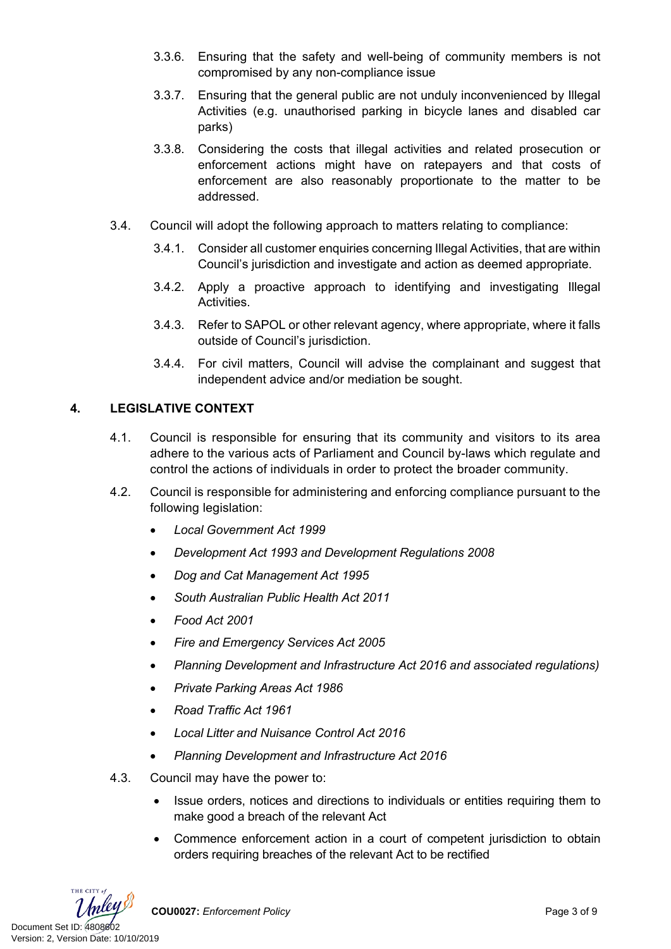- 3.3.6. Ensuring that the safety and well-being of community members is not compromised by any non-compliance issue
- 3.3.7. Ensuring that the general public are not unduly inconvenienced by Illegal Activities (e.g. unauthorised parking in bicycle lanes and disabled car parks)
- 3.3.8. Considering the costs that illegal activities and related prosecution or enforcement actions might have on ratepayers and that costs of enforcement are also reasonably proportionate to the matter to be addressed.
- 3.4. Council will adopt the following approach to matters relating to compliance:
	- 3.4.1. Consider all customer enquiries concerning Illegal Activities, that are within Council's jurisdiction and investigate and action as deemed appropriate.
	- 3.4.2. Apply a proactive approach to identifying and investigating Illegal Activities.
	- 3.4.3. Refer to SAPOL or other relevant agency, where appropriate, where it falls outside of Council's jurisdiction.
	- 3.4.4. For civil matters, Council will advise the complainant and suggest that independent advice and/or mediation be sought.

# **4. LEGISLATIVE CONTEXT**

- 4.1. Council is responsible for ensuring that its community and visitors to its area adhere to the various acts of Parliament and Council by-laws which regulate and control the actions of individuals in order to protect the broader community.
- 4.2. Council is responsible for administering and enforcing compliance pursuant to the following legislation:
	- *[Local Government Act 1999](https://www.legislation.sa.gov.au/LZ/C/A/LOCAL%20GOVERNMENT%20ACT%201999.aspx)*
	- *[Development Act 1993 a](https://www.legislation.sa.gov.au/LZ/C/A/DEVELOPMENT%20ACT%201993.aspx)nd [Development Regulations 2008](https://www.legislation.sa.gov.au/LZ/C/R/Development%20Regulations%202008.aspx)*
	- *[Dog and Cat Management Act 1995](https://www.legislation.sa.gov.au/LZ/C/A/DOG%20AND%20CAT%20MANAGEMENT%20ACT%201995.aspx)*
	- *[South Australian Public Health Act 2011](https://www.legislation.sa.gov.au/LZ/C/A/SOUTH%20AUSTRALIAN%20PUBLIC%20HEALTH%20ACT%202011.aspx)*
	- *[Food Act 2001](https://www.legislation.sa.gov.au/LZ/C/A/FOOD%20ACT%202001.aspx)*
	- *[Fire and Emergency Services Act 2005](https://www.legislation.sa.gov.au/LZ/C/A/FIRE%20AND%20EMERGENCY%20SERVICES%20ACT%202005.aspx)*
	- *Planning Development and Infrastructure Act 2016 and associated regulations)*
	- *[Private Parking Areas Act 1986](https://www.legislation.sa.gov.au/LZ/C/A/PRIVATE%20PARKING%20AREAS%20ACT%201986.aspx)*
	- *[Road Traffic Act 1961](https://www.legislation.sa.gov.au/LZ/C/A/ROAD%20TRAFFIC%20ACT%201961.aspx)*
	- *[Local Litter and Nuisance Control Act 2016](https://www.legislation.sa.gov.au/LZ/C/A/LOCAL%20NUISANCE%20AND%20LITTER%20CONTROL%20ACT%202016.aspx)*
	- *[Planning Development and Infrastructure Act 2016](https://www.legislation.sa.gov.au/LZ/C/A/PLANNING%20DEVELOPMENT%20AND%20INFRASTRUCTURE%20ACT%202016.aspx)*
- 4.3. Council may have the power to:
	- Issue orders, notices and directions to individuals or entities requiring them to make good a breach of the relevant Act
	- Commence enforcement action in a court of competent jurisdiction to obtain orders requiring breaches of the relevant Act to be rectified

THE CITY of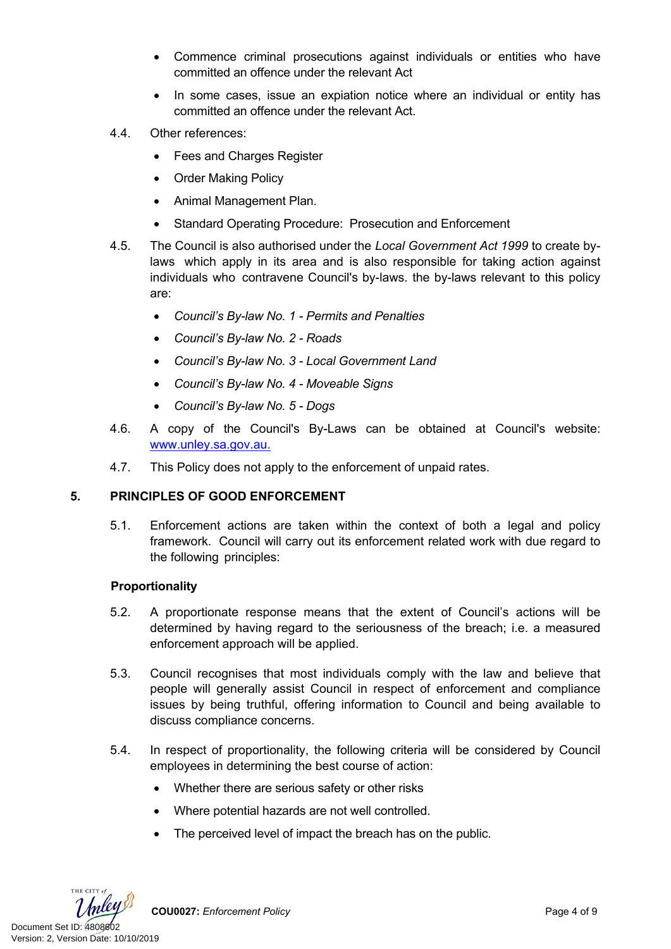- Commence criminal prosecutions against individuals or entities who have committed an offence under the relevant Act
- In some cases, issue an expiation notice where an individual or entity has committed an offence under the relevant Act.
- 4.4. Other references:
	- Fees and Charges Register
	- Order Making Policy
	- Animal Management Plan.
	- Standard Operating Procedure: Prosecution and Enforcement
- 4.5. The Council is also authorised under the *Local Government Act 1999* to create bylaws which apply in its area and is also responsible for taking action against individuals who contravene Council's by-laws. the by-laws relevant to this policy are:
	- *Council's By-law No. 1 Permits and Penalties*
	- *Council's By-law No. 2 Roads*
	- *Council's By-law No. 3 Local Government Land*
	- *Council's By-law No. 4 Moveable Signs*
	- *Council's By-law No. 5 Dogs*
- 4.6. A copy of the Council's By-Laws can be obtained at Council's website: [www.unley.sa.gov.au](http://www.unley.sa.gov.au/).
- 4.7. This Policy does not apply to the enforcement of unpaid rates.

#### **5. PRINCIPLES OF GOOD ENFORCEMENT**

5.1. Enforcement actions are taken within the context of both a legal and policy framework. Council will carry out its enforcement related work with due regard to the following principles:

#### **Proportionality**

- 5.2. A proportionate response means that the extent of Council's actions will be determined by having regard to the seriousness of the breach; i.e. a measured enforcement approach will be applied.
- 5.3. Council recognises that most individuals comply with the law and believe that people will generally assist Council in respect of enforcement and compliance issues by being truthful, offering information to Council and being available to discuss compliance concerns.
- 5.4. In respect of proportionality, the following criteria will be considered by Council employees in determining the best course of action:
	- Whether there are serious safety or other risks
	- Where potential hazards are not well controlled.
	- The perceived level of impact the breach has on the public.

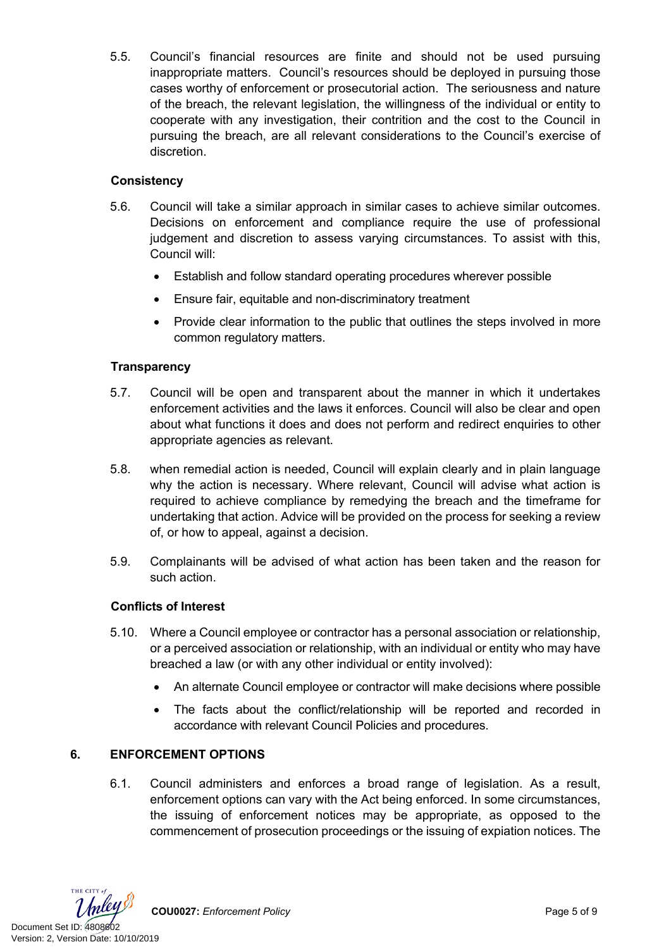5.5. Council's financial resources are finite and should not be used pursuing inappropriate matters. Council's resources should be deployed in pursuing those cases worthy of enforcement or prosecutorial action. The seriousness and nature of the breach, the relevant legislation, the willingness of the individual or entity to cooperate with any investigation, their contrition and the cost to the Council in pursuing the breach, are all relevant considerations to the Council's exercise of discretion.

# **Consistency**

- 5.6. Council will take a similar approach in similar cases to achieve similar outcomes. Decisions on enforcement and compliance require the use of professional judgement and discretion to assess varying circumstances. To assist with this, Council will:
	- Establish and follow standard operating procedures wherever possible
	- Ensure fair, equitable and non-discriminatory treatment
	- Provide clear information to the public that outlines the steps involved in more common regulatory matters.

# **Transparency**

- 5.7. Council will be open and transparent about the manner in which it undertakes enforcement activities and the laws it enforces. Council will also be clear and open about what functions it does and does not perform and redirect enquiries to other appropriate agencies as relevant.
- 5.8. when remedial action is needed, Council will explain clearly and in plain language why the action is necessary. Where relevant, Council will advise what action is required to achieve compliance by remedying the breach and the timeframe for undertaking that action. Advice will be provided on the process for seeking a review of, or how to appeal, against a decision.
- 5.9. Complainants will be advised of what action has been taken and the reason for such action.

# **Conflicts of Interest**

- 5.10. Where a Council employee or contractor has a personal association or relationship, or a perceived association or relationship, with an individual or entity who may have breached a law (or with any other individual or entity involved):
	- An alternate Council employee or contractor will make decisions where possible
	- The facts about the conflict/relationship will be reported and recorded in accordance with relevant Council Policies and procedures.

# **6. ENFORCEMENT OPTIONS**

6.1. Council administers and enforces a broad range of legislation. As a result, enforcement options can vary with the Act being enforced. In some circumstances, the issuing of enforcement notices may be appropriate, as opposed to the commencement of prosecution proceedings or the issuing of expiation notices. The

THE CITY of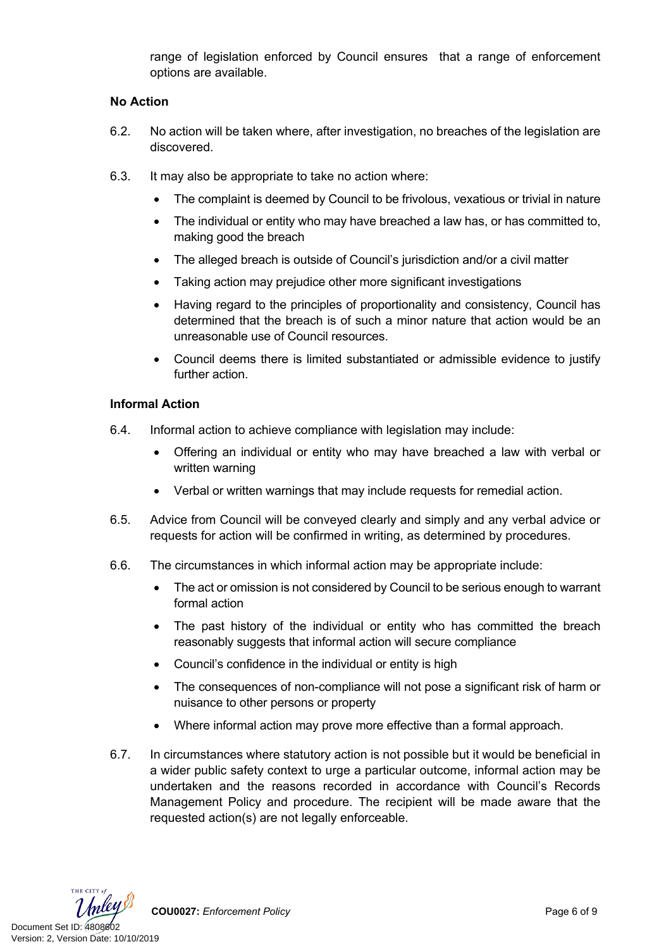range of legislation enforced by Council ensures that a range of enforcement options are available.

#### **No Action**

- 6.2. No action will be taken where, after investigation, no breaches of the legislation are discovered.
- 6.3. It may also be appropriate to take no action where:
	- The complaint is deemed by Council to be frivolous, vexatious or trivial in nature
	- The individual or entity who may have breached a law has, or has committed to, making good the breach
	- The alleged breach is outside of Council's jurisdiction and/or a civil matter
	- Taking action may prejudice other more significant investigations
	- Having regard to the principles of proportionality and consistency, Council has determined that the breach is of such a minor nature that action would be an unreasonable use of Council resources.
	- Council deems there is limited substantiated or admissible evidence to justify further action.

#### **Informal Action**

- 6.4. Informal action to achieve compliance with legislation may include:
	- Offering an individual or entity who may have breached a law with verbal or written warning
	- Verbal or written warnings that may include requests for remedial action.
- 6.5. Advice from Council will be conveyed clearly and simply and any verbal advice or requests for action will be confirmed in writing, as determined by procedures.
- 6.6. The circumstances in which informal action may be appropriate include:
	- The act or omission is not considered by Council to be serious enough to warrant formal action
	- The past history of the individual or entity who has committed the breach reasonably suggests that informal action will secure compliance
	- Council's confidence in the individual or entity is high
	- The consequences of non-compliance will not pose a significant risk of harm or nuisance to other persons or property
	- Where informal action may prove more effective than a formal approach.
- 6.7. In circumstances where statutory action is not possible but it would be beneficial in a wider public safety context to urge a particular outcome, informal action may be undertaken and the reasons recorded in accordance with Council's Records Management Policy and procedure. The recipient will be made aware that the requested action(s) are not legally enforceable.

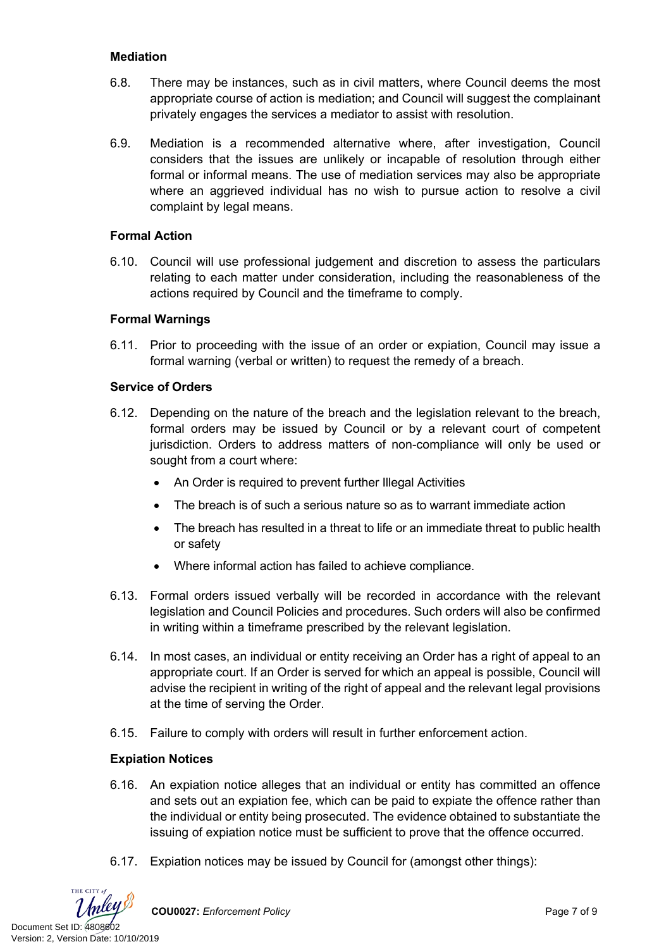### **Mediation**

- 6.8. There may be instances, such as in civil matters, where Council deems the most appropriate course of action is mediation; and Council will suggest the complainant privately engages the services a mediator to assist with resolution.
- 6.9. Mediation is a recommended alternative where, after investigation, Council considers that the issues are unlikely or incapable of resolution through either formal or informal means. The use of mediation services may also be appropriate where an aggrieved individual has no wish to pursue action to resolve a civil complaint by legal means.

#### **Formal Action**

6.10. Council will use professional judgement and discretion to assess the particulars relating to each matter under consideration, including the reasonableness of the actions required by Council and the timeframe to comply.

#### **Formal Warnings**

6.11. Prior to proceeding with the issue of an order or expiation, Council may issue a formal warning (verbal or written) to request the remedy of a breach.

#### **Service of Orders**

- 6.12. Depending on the nature of the breach and the legislation relevant to the breach, formal orders may be issued by Council or by a relevant court of competent jurisdiction. Orders to address matters of non-compliance will only be used or sought from a court where:
	- An Order is required to prevent further Illegal Activities
	- The breach is of such a serious nature so as to warrant immediate action
	- The breach has resulted in a threat to life or an immediate threat to public health or safety
	- Where informal action has failed to achieve compliance.
- 6.13. Formal orders issued verbally will be recorded in accordance with the relevant legislation and Council Policies and procedures. Such orders will also be confirmed in writing within a timeframe prescribed by the relevant legislation.
- 6.14. In most cases, an individual or entity receiving an Order has a right of appeal to an appropriate court. If an Order is served for which an appeal is possible, Council will advise the recipient in writing of the right of appeal and the relevant legal provisions at the time of serving the Order.
- 6.15. Failure to comply with orders will result in further enforcement action.

#### **Expiation Notices**

- 6.16. An expiation notice alleges that an individual or entity has committed an offence and sets out an expiation fee, which can be paid to expiate the offence rather than the individual or entity being prosecuted. The evidence obtained to substantiate the issuing of expiation notice must be sufficient to prove that the offence occurred.
- 6.17. Expiation notices may be issued by Council for (amongst other things):



**COU0027:** *Enforcement Policy* Page 7 of 9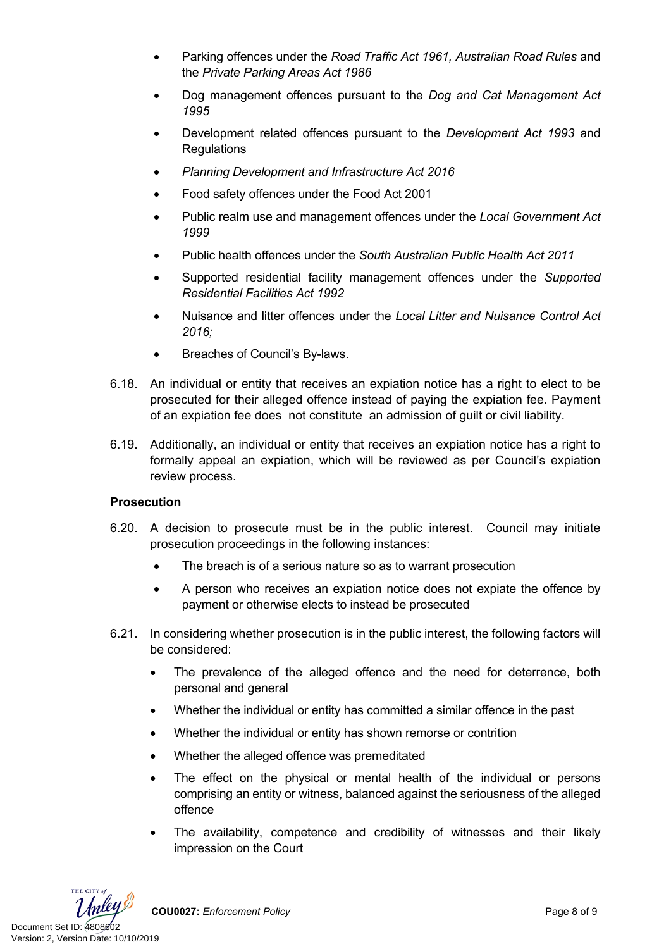- Parking offences under the *Road Traffic Act 1961, Australian Road Rules* and the *Private Parking Areas Act 1986*
- Dog management offences pursuant to the *Dog and Cat Management Act 1995*
- Development related offences pursuant to the *Development Act 1993* and **Regulations**
- *Planning Development and Infrastructure Act 2016*
- Food safety offences under the Food Act 2001
- Public realm use and management offences under the *Local Government Act 1999*
- Public health offences under the *South Australian Public Health Act 2011*
- Supported residential facility management offences under the *Supported Residential Facilities Act 1992*
- Nuisance and litter offences under the *[Local Litter and Nuisance Control Act](https://www.legislation.sa.gov.au/LZ/C/A/LOCAL%20NUISANCE%20AND%20LITTER%20CONTROL%20ACT%202016.aspx)  [2016;](https://www.legislation.sa.gov.au/LZ/C/A/LOCAL%20NUISANCE%20AND%20LITTER%20CONTROL%20ACT%202016.aspx)*
- Breaches of Council's By-laws.
- 6.18. An individual or entity that receives an expiation notice has a right to elect to be prosecuted for their alleged offence instead of paying the expiation fee. Payment of an expiation fee does not constitute an admission of guilt or civil liability.
- 6.19. Additionally, an individual or entity that receives an expiation notice has a right to formally appeal an expiation, which will be reviewed as per Council's expiation review process.

#### **Prosecution**

- 6.20. A decision to prosecute must be in the public interest. Council may initiate prosecution proceedings in the following instances:
	- The breach is of a serious nature so as to warrant prosecution
	- A person who receives an expiation notice does not expiate the offence by payment or otherwise elects to instead be prosecuted
- 6.21. In considering whether prosecution is in the public interest, the following factors will be considered:
	- The prevalence of the alleged offence and the need for deterrence, both personal and general
	- Whether the individual or entity has committed a similar offence in the past
	- Whether the individual or entity has shown remorse or contrition
	- Whether the alleged offence was premeditated
	- The effect on the physical or mental health of the individual or persons comprising an entity or witness, balanced against the seriousness of the alleged offence
	- The availability, competence and credibility of witnesses and their likely impression on the Court